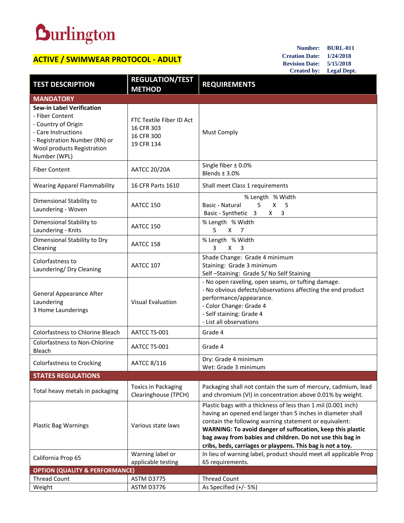## **Durlington**

## **ACTIVE / SWIMWEAR PROTOCOL - ADULT**

**Number: BURL-011 Creation Date: 1/24/2018 Revision Date: 5/15/2018 Created by: Legal Dept.**

| <b>TEST DESCRIPTION</b>                                                                                                                                                          | <b>REGULATION/TEST</b><br><b>METHOD</b>                            | <b>REQUIREMENTS</b>                                                                                                                                                                                                                                                                                                                                                             |  |
|----------------------------------------------------------------------------------------------------------------------------------------------------------------------------------|--------------------------------------------------------------------|---------------------------------------------------------------------------------------------------------------------------------------------------------------------------------------------------------------------------------------------------------------------------------------------------------------------------------------------------------------------------------|--|
| <b>MANDATORY</b>                                                                                                                                                                 |                                                                    |                                                                                                                                                                                                                                                                                                                                                                                 |  |
| <b>Sew-in Label Verification</b><br>- Fiber Content<br>- Country of Origin<br>- Care Instructions<br>- Registration Number (RN) or<br>Wool products Registration<br>Number (WPL) | FTC Textile Fiber ID Act<br>16 CFR 303<br>16 CFR 300<br>19 CFR 134 | <b>Must Comply</b>                                                                                                                                                                                                                                                                                                                                                              |  |
| <b>Fiber Content</b>                                                                                                                                                             | <b>AATCC 20/20A</b>                                                | Single fiber $\pm$ 0.0%<br>Blends $\pm$ 3.0%                                                                                                                                                                                                                                                                                                                                    |  |
| <b>Wearing Apparel Flammability</b>                                                                                                                                              | 16 CFR Parts 1610                                                  | Shall meet Class 1 requirements                                                                                                                                                                                                                                                                                                                                                 |  |
| Dimensional Stability to<br>Laundering - Woven                                                                                                                                   | AATCC 150                                                          | % Length % Width<br>5<br>X<br>Basic - Natural<br>5<br>Basic - Synthetic 3<br>X .<br>3                                                                                                                                                                                                                                                                                           |  |
| Dimensional Stability to<br>Laundering - Knits                                                                                                                                   | AATCC 150                                                          | % Length % Width<br>5<br>X.<br>$\overline{7}$                                                                                                                                                                                                                                                                                                                                   |  |
| Dimensional Stability to Dry<br>Cleaning                                                                                                                                         | AATCC 158                                                          | % Length % Width<br>3<br>$\mathsf{X}$<br>3                                                                                                                                                                                                                                                                                                                                      |  |
| Colorfastness to<br>Laundering/ Dry Cleaning                                                                                                                                     | AATCC 107                                                          | Shade Change: Grade 4 minimum<br>Staining: Grade 3 minimum<br>Self-Staining: Grade 5/No Self Staining                                                                                                                                                                                                                                                                           |  |
| <b>General Appearance After</b><br>Laundering<br>3 Home Launderings                                                                                                              | <b>Visual Evaluation</b>                                           | - No open raveling, open seams, or tufting damage.<br>- No obvious defects/observations affecting the end product<br>performance/appearance.<br>- Color Change: Grade 4<br>- Self staining: Grade 4<br>- List all observations                                                                                                                                                  |  |
| Colorfastness to Chlorine Bleach                                                                                                                                                 | AATCC TS-001                                                       | Grade 4                                                                                                                                                                                                                                                                                                                                                                         |  |
| Colorfastness to Non-Chlorine<br>Bleach                                                                                                                                          | AATCC TS-001                                                       | Grade 4                                                                                                                                                                                                                                                                                                                                                                         |  |
| <b>Colorfastness to Crocking</b>                                                                                                                                                 | AATCC 8/116                                                        | Dry: Grade 4 minimum<br>Wet: Grade 3 minimum                                                                                                                                                                                                                                                                                                                                    |  |
| <b>STATES REGULATIONS</b>                                                                                                                                                        |                                                                    |                                                                                                                                                                                                                                                                                                                                                                                 |  |
| Total heavy metals in packaging                                                                                                                                                  | <b>Toxics in Packaging</b><br>Clearinghouse (TPCH)                 | Packaging shall not contain the sum of mercury, cadmium, lead<br>and chromium (VI) in concentration above 0.01% by weight.                                                                                                                                                                                                                                                      |  |
| <b>Plastic Bag Warnings</b>                                                                                                                                                      | Various state laws                                                 | Plastic bags with a thickness of less than 1 mil (0.001 inch)<br>having an opened end larger than 5 inches in diameter shall<br>contain the following warning statement or equivalent:<br>WARNING: To avoid danger of suffocation, keep this plastic<br>bag away from babies and children. Do not use this bag in<br>cribs, beds, carriages or playpens. This bag is not a toy. |  |
| California Prop 65                                                                                                                                                               | Warning label or<br>applicable testing                             | In lieu of warning label, product should meet all applicable Prop<br>65 requirements.                                                                                                                                                                                                                                                                                           |  |
| <b>OPTION (QUALITY &amp; PERFORMANCE)</b>                                                                                                                                        |                                                                    |                                                                                                                                                                                                                                                                                                                                                                                 |  |
| <b>Thread Count</b>                                                                                                                                                              | ASTM D3775                                                         | <b>Thread Count</b>                                                                                                                                                                                                                                                                                                                                                             |  |
| Weight                                                                                                                                                                           | ASTM D3776                                                         | As Specified (+/- 5%)                                                                                                                                                                                                                                                                                                                                                           |  |